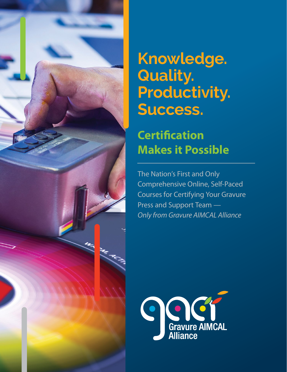

# **Knowledge. Quality. Productivity. Success.**

## **Certification Makes it Possible**

The Nation's First and Only Comprehensive Online, Self-Paced Courses for Certifying Your Gravure Press and Support Team *— Only from Gravure AIMCAL Alliance* 

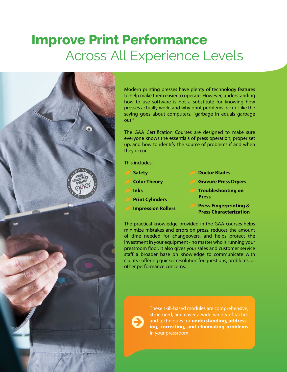# **Improve Print Performance** Across All Experience Levels



Modern printing presses have plenty of technology features to help make them easier to operate. However, understanding how to use software is not a substitute for knowing how presses actually work, and why print problems occur. Like the saying goes about computers, "garbage in equals garbage out."

The GAA Certification Courses are designed to make sure everyone knows the essentials of press operation, proper set up, and how to identify the source of problems if and when they occur.

This includes:

- **Safety Color Theory Inks Print Cylinders Impression Rollers**
- **Doctor Blades**
- **Gravure Press Dryers**
- **Troubleshooting on Press** 
	- **Press Fingerprinting & Press Characterization**

The practical knowledge provided in the GAA courses helps minimize mistakes and errors on press, reduces the amount of time needed for changeovers, and helps protect the investment in your equipment - no matter who is running your pressroom floor. It also gives your sales and customer service staff a broader base on knowledge to communicate with clients - offering quicker resolution for questions, problems, or other performance concerns.

These skill-based modules are comprehensive, structured, and cover a wide variety of tactics and techniques for **understanding, addressing, correcting, and eliminating problems**  in your pressroom.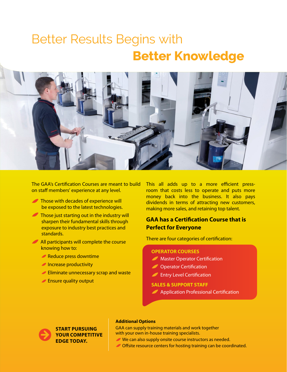# Better Results Begins with **Better Knowledge**



The GAA's Certification Courses are meant to build on staff members' experience at any level.

- Those with decades of experience will be exposed to the latest technologies.
- Those just starting out in the industry will sharpen their fundamental skills through exposure to industry best practices and standards.
- All participants will complete the course knowing how to:
	- Reduce press downtime
	- **Increase productivity**
	- **Eliminate unnecessary scrap and waste**
	- **Ensure quality output**

This all adds up to a more efficient pressroom that costs less to operate and puts more money back into the business. It also pays dividends in terms of attracting new customers, making more sales, and retaining top talent.

### **GAA has a Certification Course that is Perfect for Everyone**

There are four categories of certification:

### **OPERATOR COURSES**

- **Master Operator Certification**
- Operator Certification  $\boldsymbol{I}$
- **Entry Level Certification**

### **SALES & SUPPORT STAFF**

**Application Professional Certification** 



### **Additional Options**

GAA can supply training materials and work together with your own in-house training specialists.

- We can also supply onsite course instructors as needed.
- Offsite resource centers for hosting training can be coordinated.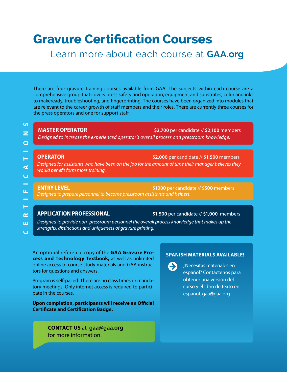## **Gravure Certification Courses**

### Learn more about each course at **GAA.org**

There are four gravure training courses available from GAA. The subjects within each course are a comprehensive group that covers press safety and operation, equipment and substrates, color and inks to makeready, troubleshooting, and fingerprinting. The courses have been organized into modules that are relevant to the career growth of staff members and their roles. There are currently three courses for the press operators and one for support staff.

**MASTER OPERATOR \$2,700** per candidate // **\$2,100** members *Designed to increase the experienced operator's overall process and pressroom knowledge.*

**OPERATOR \$2,000** per candidate // **\$1,500** members *Designed for assistants who have been on the job for the amount of time their manager believes they would benefit form more training.*

**ENTRY LEVEL \$1000** per candidate // **\$500** members *Designed to prepare personnel to become pressroom assistants and helpers.*

**APPLICATION PROFESSIONAL \$1,500** per candidate // **\$1,000** members

*Designed to provide non- pressroom personnel the overall process knowledge that makes up the strengths, distinctions and uniqueness of gravure printing.* 

An optional reference copy of the **GAA Gravure Process and Technology Textbook,** as well as unlimited online access to course study materials and GAA instructors for questions and answers.

Program is self-paced. There are no class times or mandatory meetings. Only internet access is required to participate in the courses.

**Upon completion, participants will receive an Official Certificate and Certification Badge.**

> **CONTACT US** at **gaa@gaa.org** for more information.

### **SPANISH MATERIALS AVAILABLE!**

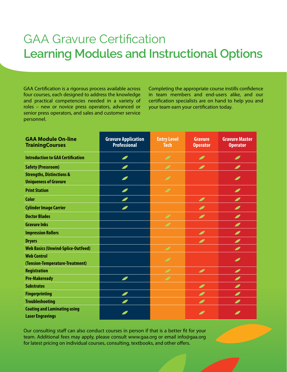## GAA Gravure Certification **Learning Modules and Instructional Options**

GAA Certification is a rigorous process available across four courses, each designed to address the knowledge and practical competencies needed in a variety of roles – new or novice press operators, advanced or senior press operators, and sales and customer service personnel.

Completing the appropriate course instills confidence in team members and end-users alike, and our certification specialists are on hand to help you and your team earn your certification today.

| <b>GAA Module On-line</b><br><b>Training Courses</b>                 | <b>Gravure Application</b><br><b>Professional</b> | <b>Entry Level</b><br><b>Tech</b> | <b>Gravure</b><br><b>Operator</b> | <b>Gravure Master</b><br><b>Operator</b> |
|----------------------------------------------------------------------|---------------------------------------------------|-----------------------------------|-----------------------------------|------------------------------------------|
| <b>Introduction to GAA Certification</b>                             | $\overline{\phantom{a}}$                          | $\overline{\mathscr{I}}$          | $\overline{\mathscr{L}}$          | I                                        |
| <b>Safety (Pressroom)</b>                                            |                                                   | $\mathscr{I}$                     | $\overline{\mathbf{C}}$           | Ø                                        |
| <b>Strengths, Distinctions &amp;</b><br><b>Uniqueness of Gravure</b> |                                                   | $\overline{\mathscr{I}}$          |                                   | $\overline{\phantom{a}}$                 |
| <b>Print Station</b>                                                 |                                                   | $\overline{\mathscr{I}}$          |                                   | Ø                                        |
| <b>Color</b>                                                         |                                                   |                                   | Ø                                 | ◢                                        |
| <b>Cylinder Image Carrier</b>                                        |                                                   |                                   | I                                 | I                                        |
| <b>Doctor Blades</b>                                                 |                                                   | $\overline{\mathscr{I}}$          | $\overline{\phantom{a}}$          | $\overline{\phantom{a}}$                 |
| <b>Gravure Inks</b>                                                  |                                                   | $\overline{\mathscr{I}}$          |                                   | Ø                                        |
| <b>Impression Rollers</b>                                            |                                                   |                                   | $\overline{\mathcal{L}}$          | I                                        |
| <b>Dryers</b>                                                        |                                                   |                                   | Ø                                 | I                                        |
| <b>Web Basics (Unwind-Splice-Outfeed)</b>                            |                                                   | $\overline{\mathscr{I}}$          |                                   | I                                        |
| <b>Web Control</b><br>(Tension-Temperature-Treatment)                |                                                   | $\overline{\mathscr{I}}$          |                                   | Ø                                        |
| <b>Registration</b>                                                  |                                                   | $\mathscr{I}$                     | $\overline{\mathcal{L}}$          | I                                        |
| <b>Pre-Makeready</b>                                                 | ◢                                                 | $\overline{\mathscr{I}}$          |                                   | I                                        |
| <b>Substrates</b>                                                    |                                                   |                                   | I                                 | Ø                                        |
| <b>Fingerprinting</b>                                                |                                                   |                                   | Ø                                 | Ø                                        |
| <b>Troubleshooting</b>                                               |                                                   |                                   | I                                 | Ø                                        |
| <b>Coating and Laminating using</b><br><b>Laser Engravings</b>       |                                                   |                                   |                                   |                                          |

Our consulting staff can also conduct courses in person if that is a better fit for your team. Additional fees may apply, please consult www.gaa.org or email info@gaa.org for latest pricing on individual courses, consulting, textbooks, and other offers.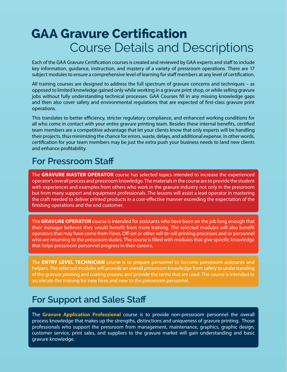## **GAA Gravure Certification** Course Details and Descriptions

Each of the GAA Gravure Certification courses is created and reviewed by GAA experts and staff to include key information, guidance, instruction, and mastery of a variety of pressroom operations. There are 17 subject modules to ensure a comprehensive level of learning for staff members at any level of certification.

All training courses are designed to address the full spectrum of gravure concerns and techniques – as opposed to limited knowledge gained only while working in a gravure print shop, or while selling gravure jobs without fully understanding technical processes. GAA Courses fill in any missing knowledge gaps and then also cover safety and environmental regulations that are expected of first-class gravure print operations.

This translates to better efficiency, stricter regulatory compliance, and enhanced working conditions for all who come in contact with your entire gravure printing team. Besides these internal benefits, certified team members are a competitive advantage that let your clients know that only experts will be handling their projects, thus minimizing the chance for errors, waste, delays, and additional expense. In other words, certification for your team members may be just the extra push your business needs to land new clients and enhance profitability.

### **For Pressroom Staff**

The **GRAVURE MASTER OPERATOR** course has selected topics intended to increase the experienced operator's overall process and pressroom knowledge. The materials in the course are to provide the student with experiences and examples from others who work in the gravure industry not only in the pressroom but from many support and equipment professionals. The lessons will assist a lead operator in mastering the craft needed to deliver printed products in a cost-effective manner exceeding the expectation of the finishing operations and the end customer.

The **GRAVURE OPERATOR** course is intended for assistants who have been on the job long enough that their manager believes they would benefit from more training. The selected modules will also benefit operators that may have come from Flexo, Off-set or other roll-to-roll printing processes and or personnel who are returning to the pressroom duties. The course is filled with modules that give specific knowledge that helps pressroom personnel progress in their careers.

The **ENTRY LEVEL TECHNICIAN** course is to prepare personnel to become pressroom assistants and helpers. The selected modules will provide an overall pressroom knowledge from safety to understanding of the gravure printing and coating process and provide the terms that are used. The course is intended to accelerate the training for new hires and new to the pressroom personnel.

### **For Support and Sales Staff**

The **Gravure Application Professional** course is to provide non-pressroom personnel the overall process knowledge that makes up the strengths, distinctions and uniqueness of gravure printing. Those professionals who support the pressroom from management, maintenance, graphics, graphic design, customer service, print sales, and suppliers to the gravure market will gain understanding and basic gravure knowledge.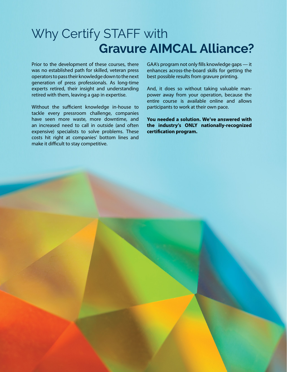## Why Certify STAFF with **Gravure AIMCAL Alliance?**

Prior to the development of these courses, there was no established path for skilled, veteran press operators to pass their knowledge down to the next generation of press professionals. As long-time experts retired, their insight and understanding retired with them, leaving a gap in expertise.

Without the sufficient knowledge in-house to tackle every pressroom challenge, companies have seen more waste, more downtime, and an increased need to call in outside (and often expensive) specialists to solve problems. These costs hit right at companies' bottom lines and make it difficult to stay competitive.

GAA's program not only fills knowledge gaps — it enhances across-the-board skills for getting the best possible results from gravure printing.

And, it does so without taking valuable manpower away from your operation, because the entire course is available online and allows participants to work at their own pace.

**You needed a solution. We've answered with the industry's ONLY nationally-recognized certification program.**